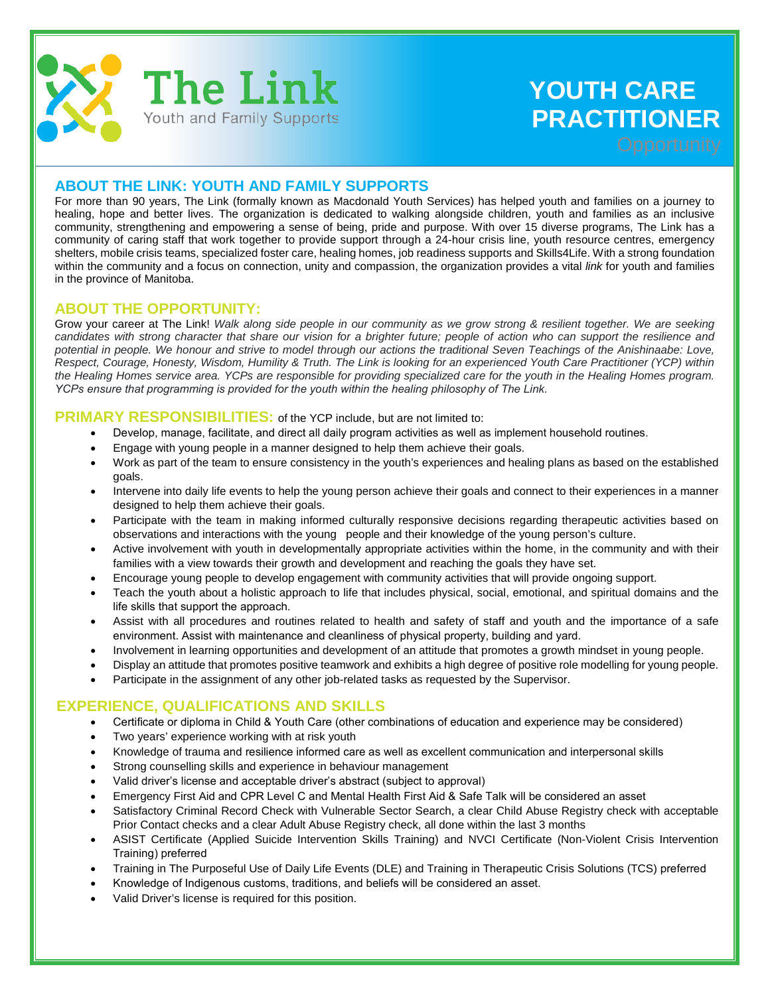

# **YOUTH CARE PRACTITIONER**

## **ABOUT THE LINK: YOUTH AND FAMILY SUPPORTS**

For more than 90 years, The Link (formally known as Macdonald Youth Services) has helped youth and families on a journey to healing, hope and better lives. The organization is dedicated to walking alongside children, youth and families as an inclusive community, strengthening and empowering a sense of being, pride and purpose. With over 15 diverse programs, The Link has a community of caring staff that work together to provide support through a 24-hour crisis line, youth resource centres, emergency shelters, mobile crisis teams, specialized foster care, healing homes, job readiness supports and Skills4Life. With a strong foundation within the community and a focus on connection, unity and compassion, the organization provides a vital *link* for youth and families in the province of Manitoba.

#### **ABOUT THE OPPORTUNITY:**

Grow your career at The Link! *Walk along side people in our community as we grow strong & resilient together. We are seeking candidates with strong character that share our vision for a brighter future; people of action who can support the resilience and potential in people. We honour and strive to model through our actions the traditional Seven Teachings of the Anishinaabe: Love, Respect, Courage, Honesty, Wisdom, Humility & Truth. The Link is looking for an experienced Youth Care Practitioner (YCP) within the Healing Homes service area. YCPs are responsible for providing specialized care for the youth in the Healing Homes program. YCPs ensure that programming is provided for the youth within the healing philosophy of The Link.*

#### **PRIMARY RESPONSIBILITIES:** of the YCP include, but are not limited to:

- Develop, manage, facilitate, and direct all daily program activities as well as implement household routines.
- Engage with young people in a manner designed to help them achieve their goals.
- Work as part of the team to ensure consistency in the youth's experiences and healing plans as based on the established goals.
- Intervene into daily life events to help the young person achieve their goals and connect to their experiences in a manner designed to help them achieve their goals.
- Participate with the team in making informed culturally responsive decisions regarding therapeutic activities based on observations and interactions with the young people and their knowledge of the young person's culture.
- Active involvement with youth in developmentally appropriate activities within the home, in the community and with their families with a view towards their growth and development and reaching the goals they have set.
- Encourage young people to develop engagement with community activities that will provide ongoing support.
- Teach the youth about a holistic approach to life that includes physical, social, emotional, and spiritual domains and the life skills that support the approach.
- Assist with all procedures and routines related to health and safety of staff and youth and the importance of a safe environment. Assist with maintenance and cleanliness of physical property, building and yard.
- Involvement in learning opportunities and development of an attitude that promotes a growth mindset in young people.
- Display an attitude that promotes positive teamwork and exhibits a high degree of positive role modelling for young people.
- Participate in the assignment of any other job-related tasks as requested by the Supervisor.

#### **EXPERIENCE, QUALIFICATIONS AND SKILLS**

- Certificate or diploma in Child & Youth Care (other combinations of education and experience may be considered)
- Two years' experience working with at risk youth
- Knowledge of trauma and resilience informed care as well as excellent communication and interpersonal skills
- Strong counselling skills and experience in behaviour management
- Valid driver's license and acceptable driver's abstract (subject to approval)
- Emergency First Aid and CPR Level C and Mental Health First Aid & Safe Talk will be considered an asset
- Satisfactory Criminal Record Check with Vulnerable Sector Search, a clear Child Abuse Registry check with acceptable Prior Contact checks and a clear Adult Abuse Registry check, all done within the last 3 months
- ASIST Certificate (Applied Suicide Intervention Skills Training) and NVCI Certificate (Non-Violent Crisis Intervention Training) preferred
- Training in The Purposeful Use of Daily Life Events (DLE) and Training in Therapeutic Crisis Solutions (TCS) preferred
- Knowledge of Indigenous customs, traditions, and beliefs will be considered an asset.
- Valid Driver's license is required for this position.